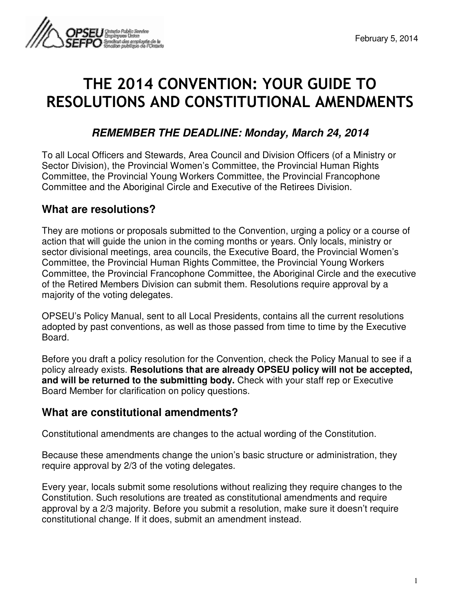

# THE 2014 CONVENTION: YOUR GUIDE TO RESOLUTIONS AND CONSTITUTIONAL AMENDMENTS

## **REMEMBER THE DEADLINE: Monday, March 24, 2014**

To all Local Officers and Stewards, Area Council and Division Officers (of a Ministry or Sector Division), the Provincial Women's Committee, the Provincial Human Rights Committee, the Provincial Young Workers Committee, the Provincial Francophone Committee and the Aboriginal Circle and Executive of the Retirees Division.

#### **What are resolutions?**

They are motions or proposals submitted to the Convention, urging a policy or a course of action that will guide the union in the coming months or years. Only locals, ministry or sector divisional meetings, area councils, the Executive Board, the Provincial Women's Committee, the Provincial Human Rights Committee, the Provincial Young Workers Committee, the Provincial Francophone Committee, the Aboriginal Circle and the executive of the Retired Members Division can submit them. Resolutions require approval by a majority of the voting delegates.

OPSEU's Policy Manual, sent to all Local Presidents, contains all the current resolutions adopted by past conventions, as well as those passed from time to time by the Executive Board.

Before you draft a policy resolution for the Convention, check the Policy Manual to see if a policy already exists. **Resolutions that are already OPSEU policy will not be accepted, and will be returned to the submitting body.** Check with your staff rep or Executive Board Member for clarification on policy questions.

#### **What are constitutional amendments?**

Constitutional amendments are changes to the actual wording of the Constitution.

Because these amendments change the union's basic structure or administration, they require approval by 2/3 of the voting delegates.

Every year, locals submit some resolutions without realizing they require changes to the Constitution. Such resolutions are treated as constitutional amendments and require approval by a 2/3 majority. Before you submit a resolution, make sure it doesn't require constitutional change. If it does, submit an amendment instead.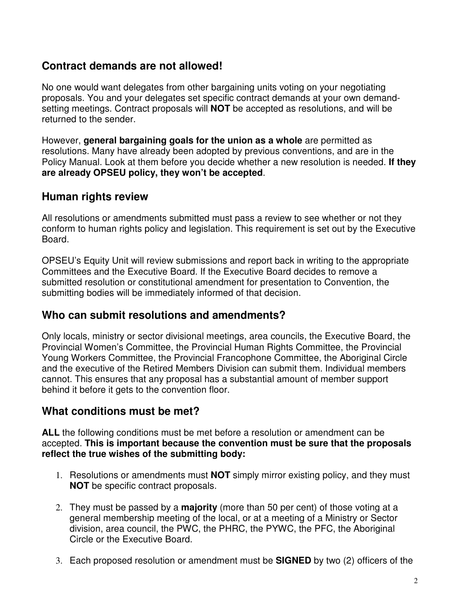#### **Contract demands are not allowed!**

No one would want delegates from other bargaining units voting on your negotiating proposals. You and your delegates set specific contract demands at your own demandsetting meetings. Contract proposals will **NOT** be accepted as resolutions, and will be returned to the sender.

However, **general bargaining goals for the union as a whole** are permitted as resolutions. Many have already been adopted by previous conventions, and are in the Policy Manual. Look at them before you decide whether a new resolution is needed. **If they are already OPSEU policy, they won't be accepted**.

#### **Human rights review**

All resolutions or amendments submitted must pass a review to see whether or not they conform to human rights policy and legislation. This requirement is set out by the Executive Board.

OPSEU's Equity Unit will review submissions and report back in writing to the appropriate Committees and the Executive Board. If the Executive Board decides to remove a submitted resolution or constitutional amendment for presentation to Convention, the submitting bodies will be immediately informed of that decision.

#### **Who can submit resolutions and amendments?**

Only locals, ministry or sector divisional meetings, area councils, the Executive Board, the Provincial Women's Committee, the Provincial Human Rights Committee, the Provincial Young Workers Committee, the Provincial Francophone Committee, the Aboriginal Circle and the executive of the Retired Members Division can submit them. Individual members cannot. This ensures that any proposal has a substantial amount of member support behind it before it gets to the convention floor.

#### **What conditions must be met?**

**ALL** the following conditions must be met before a resolution or amendment can be accepted. **This is important because the convention must be sure that the proposals reflect the true wishes of the submitting body:** 

- 1. Resolutions or amendments must **NOT** simply mirror existing policy, and they must **NOT** be specific contract proposals.
- 2. They must be passed by a **majority** (more than 50 per cent) of those voting at a general membership meeting of the local, or at a meeting of a Ministry or Sector division, area council, the PWC, the PHRC, the PYWC, the PFC, the Aboriginal Circle or the Executive Board.
- 3. Each proposed resolution or amendment must be **SIGNED** by two (2) officers of the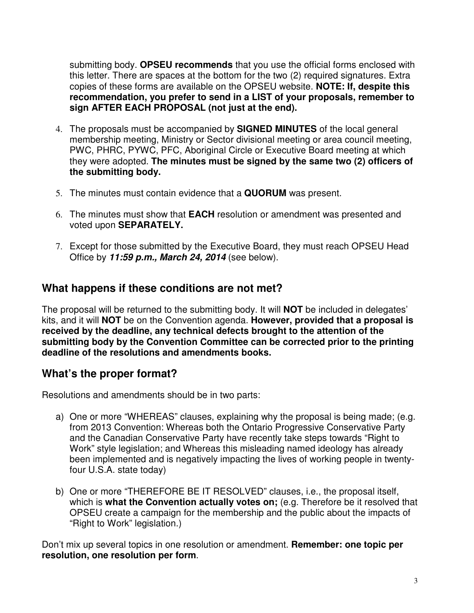submitting body. **OPSEU recommends** that you use the official forms enclosed with this letter. There are spaces at the bottom for the two (2) required signatures. Extra copies of these forms are available on the OPSEU website. **NOTE: If, despite this recommendation, you prefer to send in a LIST of your proposals, remember to sign AFTER EACH PROPOSAL (not just at the end).** 

- 4. The proposals must be accompanied by **SIGNED MINUTES** of the local general membership meeting, Ministry or Sector divisional meeting or area council meeting, PWC, PHRC, PYWC, PFC, Aboriginal Circle or Executive Board meeting at which they were adopted. **The minutes must be signed by the same two (2) officers of the submitting body.**
- 5. The minutes must contain evidence that a **QUORUM** was present.
- 6. The minutes must show that **EACH** resolution or amendment was presented and voted upon **SEPARATELY.**
- 7. Except for those submitted by the Executive Board, they must reach OPSEU Head Office by **11:59 p.m., March 24, 2014** (see below).

#### **What happens if these conditions are not met?**

The proposal will be returned to the submitting body. It will **NOT** be included in delegates' kits, and it will **NOT** be on the Convention agenda. **However, provided that a proposal is received by the deadline, any technical defects brought to the attention of the submitting body by the Convention Committee can be corrected prior to the printing deadline of the resolutions and amendments books.** 

#### **What's the proper format?**

Resolutions and amendments should be in two parts:

- a) One or more "WHEREAS" clauses, explaining why the proposal is being made; (e.g. from 2013 Convention: Whereas both the Ontario Progressive Conservative Party and the Canadian Conservative Party have recently take steps towards "Right to Work" style legislation; and Whereas this misleading named ideology has already been implemented and is negatively impacting the lives of working people in twentyfour U.S.A. state today)
- b) One or more "THEREFORE BE IT RESOLVED" clauses, i.e., the proposal itself, which is **what the Convention actually votes on;** (e.g. Therefore be it resolved that OPSEU create a campaign for the membership and the public about the impacts of "Right to Work" legislation.)

Don't mix up several topics in one resolution or amendment. **Remember: one topic per resolution, one resolution per form**.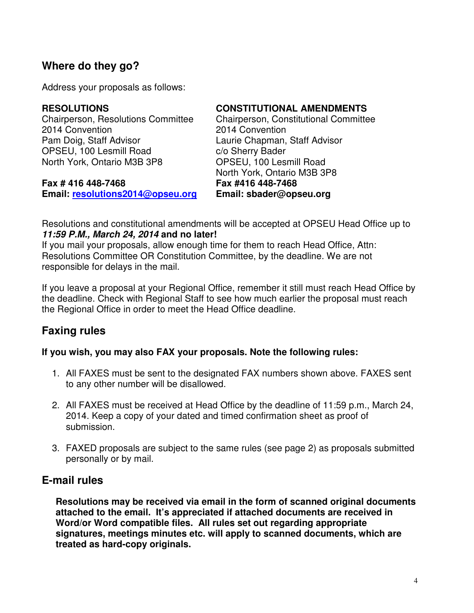## **Where do they go?**

Address your proposals as follows:

Chairperson, Resolutions Committee Chairperson, Constitutional Committee 2014 Convention 2014 Convention Pam Doig, Staff Advisor Laurie Chapman, Staff Advisor OPSEU, 100 Lesmill Road c/o Sherry Bader North York, Ontario M3B 3P8 **OPSEU, 100 Lesmill Road** 

**Fax # 416 448-7468 Fax #416 448-7468 Email: resolutions2014@opseu.org Email: sbader@opseu.org**

#### **RESOLUTIONS CONSTITUTIONAL AMENDMENTS**

North York, Ontario M3B 3P8

Resolutions and constitutional amendments will be accepted at OPSEU Head Office up to **11:59 P.M., March 24, 2014 and no later!**

If you mail your proposals, allow enough time for them to reach Head Office, Attn: Resolutions Committee OR Constitution Committee, by the deadline. We are not responsible for delays in the mail.

If you leave a proposal at your Regional Office, remember it still must reach Head Office by the deadline. Check with Regional Staff to see how much earlier the proposal must reach the Regional Office in order to meet the Head Office deadline.

# **Faxing rules**

#### **If you wish, you may also FAX your proposals. Note the following rules:**

- 1. All FAXES must be sent to the designated FAX numbers shown above. FAXES sent to any other number will be disallowed.
- 2. All FAXES must be received at Head Office by the deadline of 11:59 p.m., March 24, 2014. Keep a copy of your dated and timed confirmation sheet as proof of submission.
- 3. FAXED proposals are subject to the same rules (see page 2) as proposals submitted personally or by mail.

#### **E-mail rules**

**Resolutions may be received via email in the form of scanned original documents attached to the email. It's appreciated if attached documents are received in Word/or Word compatible files. All rules set out regarding appropriate signatures, meetings minutes etc. will apply to scanned documents, which are treated as hard-copy originals.**